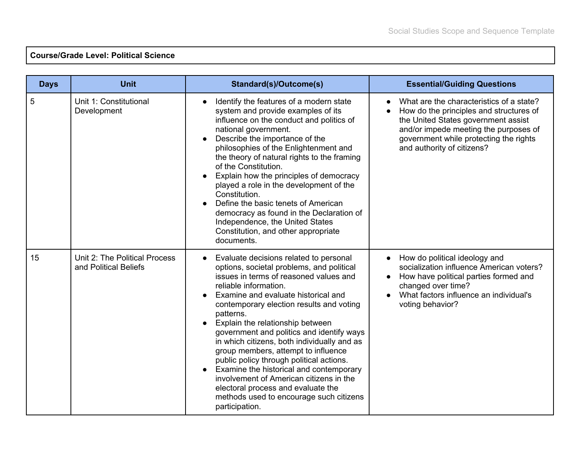## **Course/Grade Level: Political Science**

| <b>Days</b> | <b>Unit</b>                                            | Standard(s)/Outcome(s)                                                                                                                                                                                                                                                                                                                                                                                                                                                                                                                                                                                                                                             | <b>Essential/Guiding Questions</b>                                                                                                                                                                                                          |
|-------------|--------------------------------------------------------|--------------------------------------------------------------------------------------------------------------------------------------------------------------------------------------------------------------------------------------------------------------------------------------------------------------------------------------------------------------------------------------------------------------------------------------------------------------------------------------------------------------------------------------------------------------------------------------------------------------------------------------------------------------------|---------------------------------------------------------------------------------------------------------------------------------------------------------------------------------------------------------------------------------------------|
| 5           | Unit 1: Constitutional<br>Development                  | Identify the features of a modern state<br>system and provide examples of its<br>influence on the conduct and politics of<br>national government.<br>Describe the importance of the<br>philosophies of the Enlightenment and<br>the theory of natural rights to the framing<br>of the Constitution.<br>Explain how the principles of democracy<br>played a role in the development of the<br>Constitution.<br>Define the basic tenets of American<br>democracy as found in the Declaration of<br>Independence, the United States<br>Constitution, and other appropriate<br>documents.                                                                              | What are the characteristics of a state?<br>How do the principles and structures of<br>the United States government assist<br>and/or impede meeting the purposes of<br>government while protecting the rights<br>and authority of citizens? |
| 15          | Unit 2: The Political Process<br>and Political Beliefs | Evaluate decisions related to personal<br>options, societal problems, and political<br>issues in terms of reasoned values and<br>reliable information.<br>Examine and evaluate historical and<br>contemporary election results and voting<br>patterns.<br>Explain the relationship between<br>government and politics and identify ways<br>in which citizens, both individually and as<br>group members, attempt to influence<br>public policy through political actions.<br>Examine the historical and contemporary<br>involvement of American citizens in the<br>electoral process and evaluate the<br>methods used to encourage such citizens<br>participation. | How do political ideology and<br>socialization influence American voters?<br>How have political parties formed and<br>changed over time?<br>What factors influence an individual's<br>voting behavior?                                      |